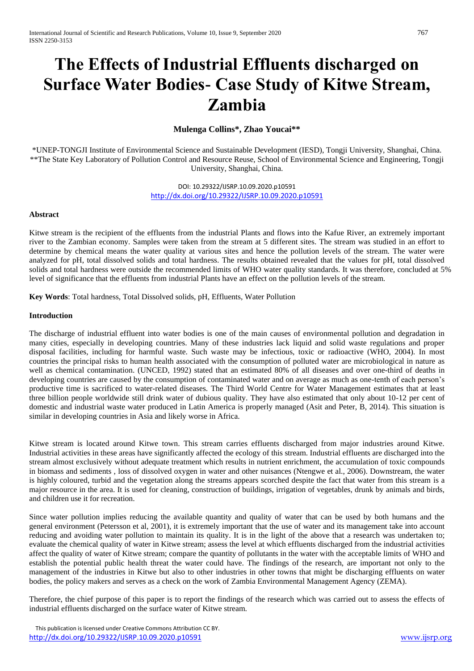# **The Effects of Industrial Effluents discharged on Surface Water Bodies- Case Study of Kitwe Stream, Zambia**

## **Mulenga Collins\*, Zhao Youcai\*\***

\*UNEP-TONGJI Institute of Environmental Science and Sustainable Development (IESD), Tongji University, Shanghai, China. \*\*The State Key Laboratory of Pollution Control and Resource Reuse, School of Environmental Science and Engineering, Tongji University, Shanghai, China.

> DOI: 10.29322/IJSRP.10.09.2020.p10591 <http://dx.doi.org/10.29322/IJSRP.10.09.2020.p10591>

## **Abstract**

Kitwe stream is the recipient of the effluents from the industrial Plants and flows into the Kafue River, an extremely important river to the Zambian economy. Samples were taken from the stream at 5 different sites. The stream was studied in an effort to determine by chemical means the water quality at various sites and hence the pollution levels of the stream. The water were analyzed for pH, total dissolved solids and total hardness. The results obtained revealed that the values for pH, total dissolved solids and total hardness were outside the recommended limits of WHO water quality standards. It was therefore, concluded at 5% level of significance that the effluents from industrial Plants have an effect on the pollution levels of the stream.

**Key Words**: Total hardness, Total Dissolved solids, pH, Effluents, Water Pollution

#### **Introduction**

The discharge of industrial effluent into water bodies is one of the main causes of environmental pollution and degradation in many cities, especially in developing countries. Many of these industries lack liquid and solid waste regulations and proper disposal facilities, including for harmful waste. Such waste may be infectious, toxic or radioactive (WHO, 2004). In most countries the principal risks to human health associated with the consumption of polluted water are microbiological in nature as well as chemical contamination. (UNCED, 1992) stated that an estimated 80% of all diseases and over one-third of deaths in developing countries are caused by the consumption of contaminated water and on average as much as one-tenth of each person's productive time is sacrificed to water-related diseases. The Third World Centre for Water Management estimates that at least three billion people worldwide still drink water of dubious quality. They have also estimated that only about 10-12 per cent of domestic and industrial waste water produced in Latin America is properly managed (Asit and Peter, B, 2014). This situation is similar in developing countries in Asia and likely worse in Africa.

Kitwe stream is located around Kitwe town. This stream carries effluents discharged from major industries around Kitwe. Industrial activities in these areas have significantly affected the ecology of this stream. Industrial effluents are discharged into the stream almost exclusively without adequate treatment which results in nutrient enrichment, the accumulation of toxic compounds in biomass and sediments , loss of dissolved oxygen in water and other nuisances (Ntengwe et al., 2006). Downstream, the water is highly coloured, turbid and the vegetation along the streams appears scorched despite the fact that water from this stream is a major resource in the area. It is used for cleaning, construction of buildings, irrigation of vegetables, drunk by animals and birds, and children use it for recreation.

Since water pollution implies reducing the available quantity and quality of water that can be used by both humans and the general environment (Petersson et al, 2001), it is extremely important that the use of water and its management take into account reducing and avoiding water pollution to maintain its quality. It is in the light of the above that a research was undertaken to; evaluate the chemical quality of water in Kitwe stream; assess the level at which effluents discharged from the industrial activities affect the quality of water of Kitwe stream; compare the quantity of pollutants in the water with the acceptable limits of WHO and establish the potential public health threat the water could have. The findings of the research, are important not only to the management of the industries in Kitwe but also to other industries in other towns that might be discharging effluents on water bodies, the policy makers and serves as a check on the work of Zambia Environmental Management Agency (ZEMA).

Therefore, the chief purpose of this paper is to report the findings of the research which was carried out to assess the effects of industrial effluents discharged on the surface water of Kitwe stream.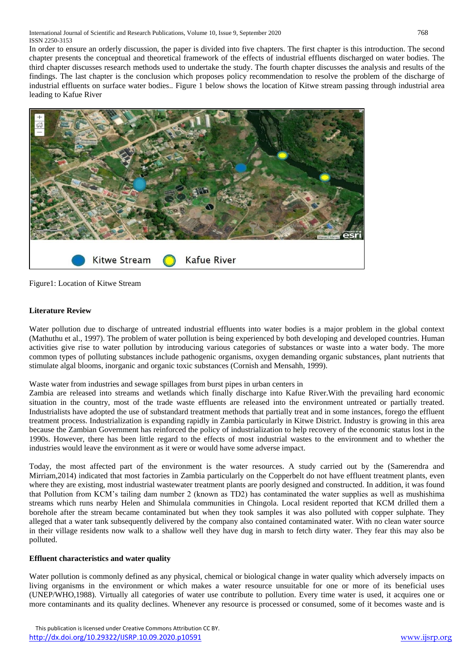In order to ensure an orderly discussion, the paper is divided into five chapters. The first chapter is this introduction. The second chapter presents the conceptual and theoretical framework of the effects of industrial effluents discharged on water bodies. The third chapter discusses research methods used to undertake the study. The fourth chapter discusses the analysis and results of the findings. The last chapter is the conclusion which proposes policy recommendation to resolve the problem of the discharge of industrial effluents on surface water bodies.. Figure 1 below shows the location of Kitwe stream passing through industrial area leading to Kafue River



Figure1: Location of Kitwe Stream

# **Literature Review**

Water pollution due to discharge of untreated industrial effluents into water bodies is a major problem in the global context (Mathuthu et al., 1997). The problem of water pollution is being experienced by both developing and developed countries. Human activities give rise to water pollution by introducing various categories of substances or waste into a water body. The more common types of polluting substances include pathogenic organisms, oxygen demanding organic substances, plant nutrients that stimulate algal blooms, inorganic and organic toxic substances (Cornish and Mensahh, 1999).

Waste water from industries and sewage spillages from burst pipes in urban centers in

Zambia are released into streams and wetlands which finally discharge into Kafue River.With the prevailing hard economic situation in the country, most of the trade waste effluents are released into the environment untreated or partially treated. Industrialists have adopted the use of substandard treatment methods that partially treat and in some instances, forego the effluent treatment process. Industrialization is expanding rapidly in Zambia particularly in Kitwe District. Industry is growing in this area because the Zambian Government has reinforced the policy of industrialization to help recovery of the economic status lost in the 1990s. However, there has been little regard to the effects of most industrial wastes to the environment and to whether the industries would leave the environment as it were or would have some adverse impact.

Today, the most affected part of the environment is the water resources. A study carried out by the (Samerendra and Mirriam,2014) indicated that most factories in Zambia particularly on the Copperbelt do not have effluent treatment plants, even where they are existing, most industrial wastewater treatment plants are poorly designed and constructed. In addition, it was found that Pollution from KCM's tailing dam number 2 (known as TD2) has contaminated the water supplies as well as mushishima streams which runs nearby Helen and Shimulala communities in Chingola. Local resident reported that KCM drilled them a borehole after the stream became contaminated but when they took samples it was also polluted with copper sulphate. They alleged that a water tank subsequently delivered by the company also contained contaminated water. With no clean water source in their village residents now walk to a shallow well they have dug in marsh to fetch dirty water. They fear this may also be polluted.

# **Effluent characteristics and water quality**

Water pollution is commonly defined as any physical, chemical or biological change in water quality which adversely impacts on living organisms in the environment or which makes a water resource unsuitable for one or more of its beneficial uses (UNEP/WHO,1988). Virtually all categories of water use contribute to pollution. Every time water is used, it acquires one or more contaminants and its quality declines. Whenever any resource is processed or consumed, some of it becomes waste and is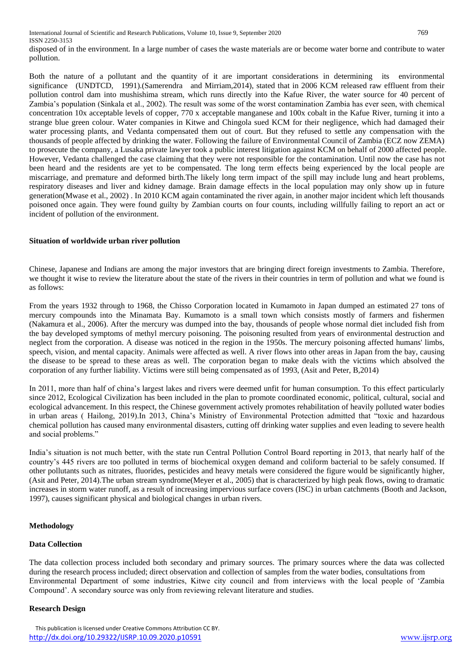disposed of in the environment. In a large number of cases the waste materials are or become water borne and contribute to water pollution.

Both the nature of a pollutant and the quantity of it are important considerations in determining its environmental significance (UNDTCD, 1991).(Samerendra and Mirriam,2014), stated that in 2006 KCM released raw effluent from their pollution control dam into mushishima stream, which runs directly into the Kafue River, the water source for 40 percent of Zambia's population (Sinkala et al., 2002). The result was some of the worst contamination Zambia has ever seen, with chemical concentration 10x acceptable levels of copper, 770 x acceptable manganese and 100x cobalt in the Kafue River, turning it into a strange blue green colour. Water companies in Kitwe and Chingola sued KCM for their negligence, which had damaged their water processing plants, and Vedanta compensated them out of court. But they refused to settle any compensation with the thousands of people affected by drinking the water. Following the failure of Environmental Council of Zambia (ECZ now ZEMA) to prosecute the company, a Lusaka private lawyer took a public interest litigation against KCM on behalf of 2000 affected people. However, Vedanta challenged the case claiming that they were not responsible for the contamination. Until now the case has not been heard and the residents are yet to be compensated. The long term effects being experienced by the local people are miscarriage, and premature and deformed birth.The likely long term impact of the spill may include lung and heart problems, respiratory diseases and liver and kidney damage. Brain damage effects in the local population may only show up in future generation(Mwase et al., 2002) . In 2010 KCM again contaminated the river again, in another major incident which left thousands poisoned once again. They were found guilty by Zambian courts on four counts, including willfully failing to report an act or incident of pollution of the environment.

#### **Situation of worldwide urban river pollution**

Chinese, Japanese and Indians are among the major investors that are bringing direct foreign investments to Zambia. Therefore, we thought it wise to review the literature about the state of the rivers in their countries in term of pollution and what we found is as follows:

From the years 1932 through to 1968, the Chisso Corporation located in Kumamoto in Japan dumped an estimated 27 tons of mercury compounds into the Minamata Bay. Kumamoto is a small town which consists mostly of farmers and fishermen (Nakamura et al., 2006). After the mercury was dumped into the bay, thousands of people whose normal diet included fish from the bay developed symptoms of methyl mercury poisoning. The poisoning resulted from years of environmental destruction and neglect from the corporation. A disease was noticed in the region in the 1950s. The mercury poisoning affected humans' limbs, speech, vision, and mental capacity. Animals were affected as well. A river flows into other areas in Japan from the bay, causing the disease to be spread to these areas as well. The corporation began to make deals with the victims which absolved the corporation of any further liability. Victims were still being compensated as of 1993, (Asit and Peter, B,2014)

In 2011, more than half of china's largest lakes and rivers were deemed unfit for human consumption. To this effect particularly since 2012, Ecological Civilization has been included in the plan to promote coordinated economic, political, cultural, social and ecological advancement. In this respect, the Chinese government actively promotes rehabilitation of heavily polluted water bodies in urban areas ( Hailong, 2019).In 2013, China's Ministry of Environmental Protection admitted that "toxic and hazardous chemical pollution has caused many environmental disasters, cutting off drinking water supplies and even leading to severe health and social problems."

India's situation is not much better, with the state run Central Pollution Control Board reporting in 2013, that nearly half of the country's 445 rivers are too polluted in terms of biochemical oxygen demand and coliform bacterial to be safely consumed. If other pollutants such as nitrates, fluorides, pesticides and heavy metals were considered the figure would be significantly higher, (Asit and Peter, 2014).The urban stream syndrome(Meyer et al., 2005) that is characterized by high peak flows, owing to dramatic increases in storm water runoff, as a result of increasing impervious surface covers (ISC) in urban catchments (Booth and Jackson, 1997), causes significant physical and biological changes in urban rivers.

## **Methodology**

## **Data Collection**

The data collection process included both secondary and primary sources. The primary sources where the data was collected during the research process included; direct observation and collection of samples from the water bodies, consultations from Environmental Department of some industries, Kitwe city council and from interviews with the local people of 'Zambia Compound'. A secondary source was only from reviewing relevant literature and studies.

## **Research Design**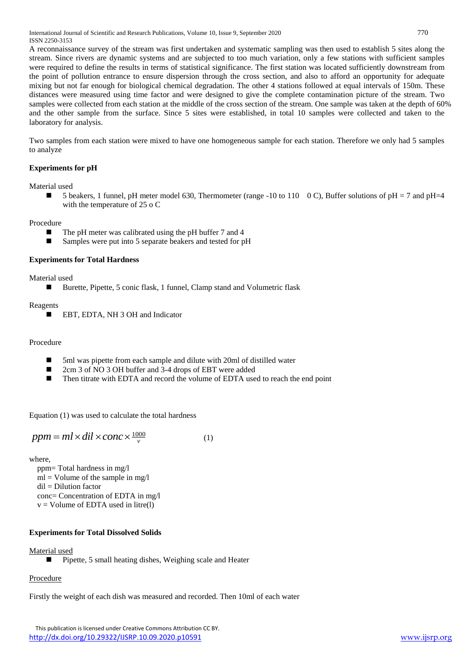International Journal of Scientific and Research Publications, Volume 10, Issue 9, September 2020 770 ISSN 2250-3153

A reconnaissance survey of the stream was first undertaken and systematic sampling was then used to establish 5 sites along the stream. Since rivers are dynamic systems and are subjected to too much variation, only a few stations with sufficient samples were required to define the results in terms of statistical significance. The first station was located sufficiently downstream from the point of pollution entrance to ensure dispersion through the cross section, and also to afford an opportunity for adequate mixing but not far enough for biological chemical degradation. The other 4 stations followed at equal intervals of 150m. These distances were measured using time factor and were designed to give the complete contamination picture of the stream. Two samples were collected from each station at the middle of the cross section of the stream. One sample was taken at the depth of 60% and the other sample from the surface. Since 5 sites were established, in total 10 samples were collected and taken to the laboratory for analysis.

Two samples from each station were mixed to have one homogeneous sample for each station. Therefore we only had 5 samples to analyze

## **Experiments for pH**

Material used

5 beakers, 1 funnel, pH meter model 630, Thermometer (range -10 to 110  $\degree$  O C), Buffer solutions of pH = 7 and pH=4 with the temperature of 25 o C

Procedure

- $\blacksquare$  The pH meter was calibrated using the pH buffer 7 and 4
- Samples were put into 5 separate beakers and tested for pH

## **Experiments for Total Hardness**

Material used

■ Burette, Pipette, 5 conic flask, 1 funnel, Clamp stand and Volumetric flask

Reagents

■ EBT, EDTA, NH 3 OH and Indicator

Procedure

- 5ml was pipette from each sample and dilute with 20ml of distilled water
- 2cm 3 of NO 3 OH buffer and 3-4 drops of EBT were added
- Then titrate with EDTA and record the volume of EDTA used to reach the end point

Equation (1) was used to calculate the total hardness

$$
ppm = ml \times dil \times conc \times \frac{1000}{v}
$$
 (1)

where,

ppm= Total hardness in mg/l  $ml = Volume of the sample in mg/l$  $di = Dilution factor$ conc= Concentration of EDTA in mg/l  $v =$  Volume of EDTA used in litre(l)

## **Experiments for Total Dissolved Solids**

Material used

■ Pipette, 5 small heating dishes, Weighing scale and Heater

## Procedure

Firstly the weight of each dish was measured and recorded. Then 10ml of each water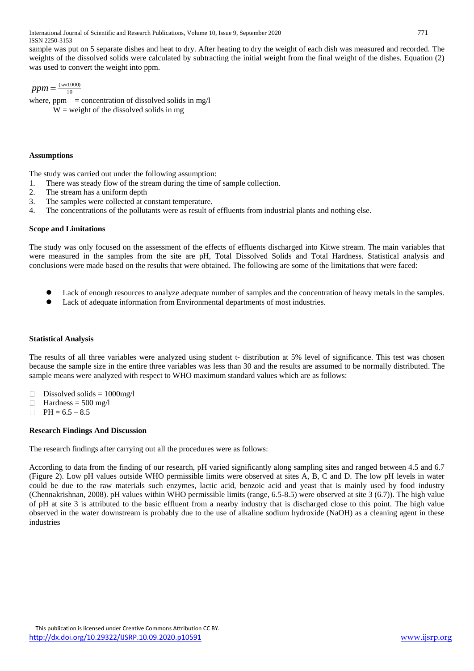International Journal of Scientific and Research Publications, Volume 10, Issue 9, September 2020 771 ISSN 2250-3153

sample was put on 5 separate dishes and heat to dry. After heating to dry the weight of each dish was measured and recorded. The weights of the dissolved solids were calculated by subtracting the initial weight from the final weight of the dishes. Equation (2) was used to convert the weight into ppm.

$$
ppm = \frac{(w \times 1000)}{10}
$$

where,  $ppm = concentration of dissolved solids in mg/l$  $W =$  weight of the dissolved solids in mg

## **Assumptions**

The study was carried out under the following assumption:

- 1. There was steady flow of the stream during the time of sample collection.
- 2. The stream has a uniform depth
- 3. The samples were collected at constant temperature.
- 4. The concentrations of the pollutants were as result of effluents from industrial plants and nothing else.

#### **Scope and Limitations**

The study was only focused on the assessment of the effects of effluents discharged into Kitwe stream. The main variables that were measured in the samples from the site are pH, Total Dissolved Solids and Total Hardness. Statistical analysis and conclusions were made based on the results that were obtained. The following are some of the limitations that were faced:

- Lack of enough resources to analyze adequate number of samples and the concentration of heavy metals in the samples.
- Lack of adequate information from Environmental departments of most industries.

#### **Statistical Analysis**

The results of all three variables were analyzed using student t- distribution at 5% level of significance. This test was chosen because the sample size in the entire three variables was less than 30 and the results are assumed to be normally distributed. The sample means were analyzed with respect to WHO maximum standard values which are as follows:

- Dissolved solids = 1000mg/l
- Hardness  $= 500$  mg/l
- $\Box$  PH = 6.5 8.5

## **Research Findings And Discussion**

The research findings after carrying out all the procedures were as follows:

According to data from the finding of our research, pH varied significantly along sampling sites and ranged between 4.5 and 6.7 (Figure 2). Low pH values outside WHO permissible limits were observed at sites A, B, C and D. The low pH levels in water could be due to the raw materials such enzymes, lactic acid, benzoic acid and yeast that is mainly used by food industry (Chennakrishnan, 2008). pH values within WHO permissible limits (range, 6.5-8.5) were observed at site 3 (6.7)). The high value of pH at site 3 is attributed to the basic effluent from a nearby industry that is discharged close to this point. The high value observed in the water downstream is probably due to the use of alkaline sodium hydroxide (NaOH) as a cleaning agent in these industries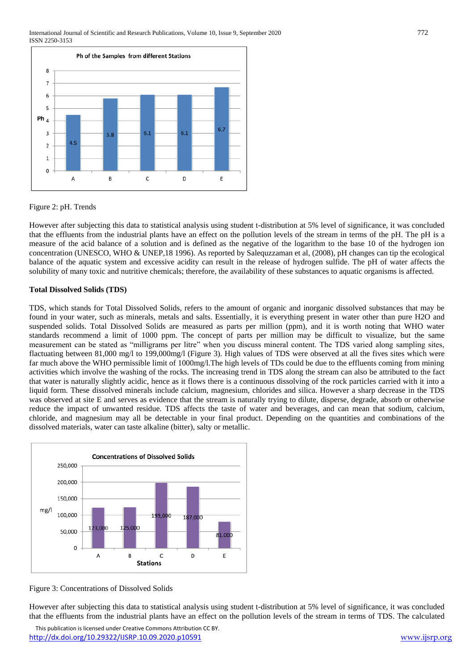

## Figure 2: pH. Trends

However after subjecting this data to statistical analysis using student t-distribution at 5% level of significance, it was concluded that the effluents from the industrial plants have an effect on the pollution levels of the stream in terms of the pH. The pH is a measure of the acid balance of a solution and is defined as the negative of the logarithm to the base 10 of the hydrogen ion concentration (UNESCO, WHO & UNEP,18 1996). As reported by Salequzzaman et al, (2008), pH changes can tip the ecological balance of the aquatic system and excessive acidity can result in the release of hydrogen sulfide. The pH of water affects the solubility of many toxic and nutritive chemicals; therefore, the availability of these substances to aquatic organisms is affected.

#### **Total Dissolved Solids (TDS)**

TDS, which stands for Total Dissolved Solids, refers to the amount of organic and inorganic dissolved substances that may be found in your water, such as minerals, metals and salts. Essentially, it is everything present in water other than pure H2O and suspended solids. Total Dissolved Solids are measured as parts per million (ppm), and it is worth noting that WHO water standards recommend a limit of 1000 ppm. The concept of parts per million may be difficult to visualize, but the same measurement can be stated as "milligrams per litre" when you discuss mineral content. The TDS varied along sampling sites, flactuating between 81,000 mg/l to 199,000mg/l (Figure 3). High values of TDS were observed at all the fives sites which were far much above the WHO permissible limit of 1000mg/l.The high levels of TDs could be due to the effluents coming from mining activities which involve the washing of the rocks. The increasing trend in TDS along the stream can also be attributed to the fact that water is naturally slightly acidic, hence as it flows there is a continuous dissolving of the rock particles carried with it into a liquid form. These dissolved minerals include calcium, magnesium, chlorides and silica. However a sharp decrease in the TDS was observed at site E and serves as evidence that the stream is naturally trying to dilute, disperse, degrade, absorb or otherwise reduce the impact of unwanted residue. TDS affects the taste of water and beverages, and can mean that sodium, calcium, chloride, and magnesium may all be detectable in your final product. Depending on the quantities and combinations of the dissolved materials, water can taste alkaline (bitter), salty or metallic.



Figure 3: Concentrations of Dissolved Solids

However after subjecting this data to statistical analysis using student t-distribution at 5% level of significance, it was concluded that the effluents from the industrial plants have an effect on the pollution levels of the stream in terms of TDS. The calculated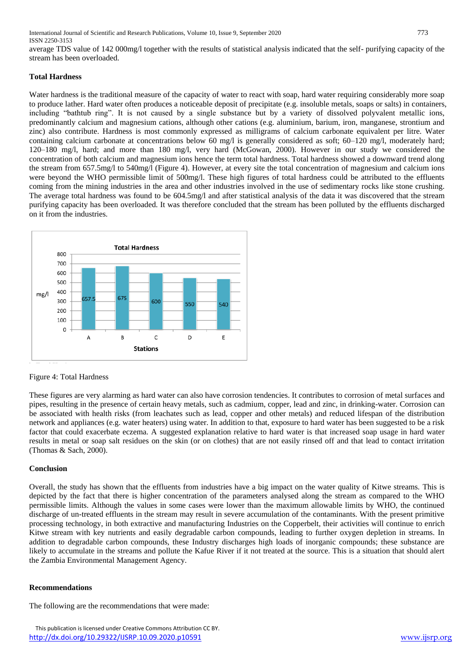International Journal of Scientific and Research Publications, Volume 10, Issue 9, September 2020 773 ISSN 2250-3153

average TDS value of 142 000mg/l together with the results of statistical analysis indicated that the self- purifying capacity of the stream has been overloaded.

## **Total Hardness**

Water hardness is the traditional measure of the capacity of water to react with soap, hard water requiring considerably more soap to produce lather. Hard water often produces a noticeable deposit of precipitate (e.g. insoluble metals, soaps or salts) in containers, including "bathtub ring". It is not caused by a single substance but by a variety of dissolved polyvalent metallic ions, predominantly calcium and magnesium cations, although other cations (e.g. aluminium, barium, iron, manganese, strontium and zinc) also contribute. Hardness is most commonly expressed as milligrams of calcium carbonate equivalent per litre. Water containing calcium carbonate at concentrations below 60 mg/l is generally considered as soft; 60–120 mg/l, moderately hard; 120–180 mg/l, hard; and more than 180 mg/l, very hard (McGowan, 2000). However in our study we considered the concentration of both calcium and magnesium ions hence the term total hardness. Total hardness showed a downward trend along the stream from 657.5mg/l to 540mg/l (Figure 4). However, at every site the total concentration of magnesium and calcium ions were beyond the WHO permissible limit of 500mg/l. These high figures of total hardness could be attributed to the effluents coming from the mining industries in the area and other industries involved in the use of sedimentary rocks like stone crushing. The average total hardness was found to be 604.5mg/l and after statistical analysis of the data it was discovered that the stream purifying capacity has been overloaded. It was therefore concluded that the stream has been polluted by the effluents discharged on it from the industries.



Figure 4: Total Hardness

These figures are very alarming as hard water can also have corrosion tendencies. It contributes to corrosion of metal surfaces and pipes, resulting in the presence of certain heavy metals, such as cadmium, copper, lead and zinc, in drinking-water. Corrosion can be associated with health risks (from leachates such as lead, copper and other metals) and reduced lifespan of the distribution network and appliances (e.g. water heaters) using water. In addition to that, exposure to hard water has been suggested to be a risk factor that could exacerbate eczema. A suggested explanation relative to hard water is that increased soap usage in hard water results in metal or soap salt residues on the skin (or on clothes) that are not easily rinsed off and that lead to contact irritation (Thomas & Sach, 2000).

## **Conclusion**

Overall, the study has shown that the effluents from industries have a big impact on the water quality of Kitwe streams. This is depicted by the fact that there is higher concentration of the parameters analysed along the stream as compared to the WHO permissible limits. Although the values in some cases were lower than the maximum allowable limits by WHO, the continued discharge of un-treated effluents in the stream may result in severe accumulation of the contaminants. With the present primitive processing technology, in both extractive and manufacturing Industries on the Copperbelt, their activities will continue to enrich Kitwe stream with key nutrients and easily degradable carbon compounds, leading to further oxygen depletion in streams. In addition to degradable carbon compounds, these Industry discharges high loads of inorganic compounds; these substance are likely to accumulate in the streams and pollute the Kafue River if it not treated at the source. This is a situation that should alert the Zambia Environmental Management Agency.

## **Recommendations**

The following are the recommendations that were made: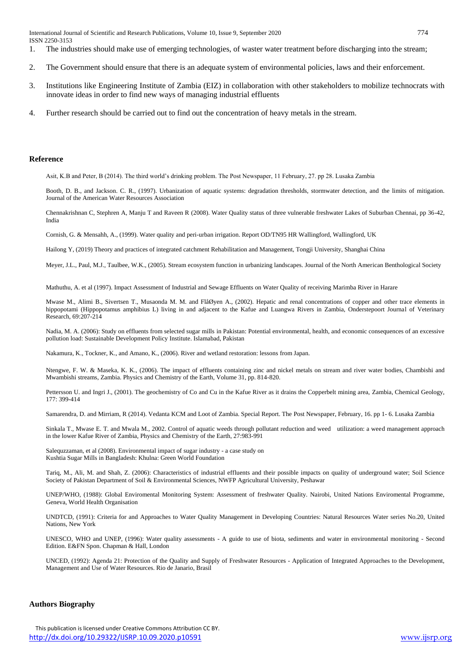- 1. The industries should make use of emerging technologies, of waster water treatment before discharging into the stream;
- 2. The Government should ensure that there is an adequate system of environmental policies, laws and their enforcement.
- 3. Institutions like Engineering Institute of Zambia (EIZ) in collaboration with other stakeholders to mobilize technocrats with innovate ideas in order to find new ways of managing industrial effluents
- 4. Further research should be carried out to find out the concentration of heavy metals in the stream.

#### **Reference**

Asit, K.B and Peter, B (2014). The third world's drinking problem. The Post Newspaper, 11 February, 27. pp 28. Lusaka Zambia

Booth, D. B., and Jackson. C. R., (1997). Urbanization of aquatic systems: degradation thresholds, stormwater detection, and the limits of mitigation. Journal of the American Water Resources Association

Chennakrishnan C, Stephren A, Manju T and Raveen R (2008). Water Quality status of three vulnerable freshwater Lakes of Suburban Chennai, pp 36-42, India

Cornish, G. & Mensahh, A., (1999). Water quality and peri-urban irrigation. Report OD/TN95 HR Wallingford, Wallingford, UK

Hailong Y, (2019) Theory and practices of integrated catchment Rehabilitation and Management, Tongji University, Shanghai China

Meyer, J.L., Paul, M.J., Taulbee, W.K., (2005). Stream ecosystem function in urbanizing landscapes. Journal of the North American Benthological Society

Mathuthu, A. et al (1997). Impact Assessment of Industrial and Sewage Effluents on Water Quality of receiving Marimba River in Harare

Mwase M., Alimi B., Sivertsen T., Musaonda M. M. and FlåØyen A., (2002). Hepatic and renal concentrations of copper and other trace elements in hippopotami (Hippopotamus amphibius L) living in and adjacent to the Kafue and Luangwa Rivers in Zambia, Onderstepoort Journal of Veterinary Research, 69:207-214

Nadia, M. A. (2006): Study on effluents from selected sugar mills in Pakistan: Potential environmental, health, and economic consequences of an excessive pollution load: Sustainable Development Policy Institute. Islamabad, Pakistan

Nakamura, K., Tockner, K., and Amano, K., (2006). River and wetland restoration: lessons from Japan.

Ntengwe, F. W. & Maseka, K. K., (2006). The impact of effluents containing zinc and nickel metals on stream and river water bodies, Chambishi and Mwambishi streams, Zambia. Physics and Chemistry of the Earth, Volume 31, pp. 814-820.

Pettersson U. and Ingri J., (2001). The geochemistry of Co and Cu in the Kafue River as it drains the Copperbelt mining area, Zambia, Chemical Geology, 177: 399-414

Samarendra, D. and Mirriam, R (2014). Vedanta KCM and Loot of Zambia. Special Report. The Post Newspaper, February, 16. pp 1- 6. Lusaka Zambia

Sinkala T., Mwase E. T. and Mwala M., 2002. Control of aquatic weeds through pollutant reduction and weed utilization: a weed management approach in the lower Kafue River of Zambia, Physics and Chemistry of the Earth, 27:983-991

Salequzzaman, et al (2008). Environmental impact of sugar industry - a case study on Kushtia Sugar Mills in Bangladesh: Khulna: Green World Foundation

Tariq, M., Ali, M. and Shah, Z. (2006): Characteristics of industrial effluents and their possible impacts on quality of underground water; Soil Science Society of Pakistan Department of Soil & Environmental Sciences, NWFP Agricultural University, Peshawar

UNEP/WHO, (1988): Global Enviromental Monitoring System: Assessment of freshwater Quality. Nairobi, United Nations Enviromental Programme, Geneva, World Health Organisation

UNDTCD, (1991): Criteria for and Approaches to Water Quality Management in Developing Countries: Natural Resources Water series No.20, United Nations, New York

UNESCO, WHO and UNEP, (1996): Water quality assessments - A guide to use of biota, sediments and water in environmental monitoring - Second Edition. E&FN Spon. Chapman & Hall, London

UNCED, (1992): Agenda 21: Protection of the Quality and Supply of Freshwater Resources - Application of Integrated Approaches to the Development, Management and Use of Water Resources. Rio de Janario, Brasil

#### **Authors Biography**